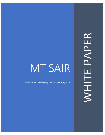# MT SAIR

By Nicholas Phan, Ph D; John Nguyen, PhD; James Nguyen, MD

WHITE PAPERPAPER WHITE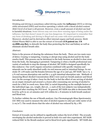

# *Introduction:*

Drinking and driving is sometimes called driving under the **influence** (DUI) or driving while intoxicated (DWI) and involves operating a vehicle with a blood alcohol content (BAC) level of at least 0.08 percent. However, even a small amount of alcohol can lead to harmful situations. Some drivers may not even show warning signs of being under the influence, but that doesn't mean it's any less dangerous. It's important to remember that any form of drinking and driving is illegal and can come with strict punishment. Moreover, alcohol and its derivatives effect internal organs and body process. Metti Global Pharm R&D is able to use the extract of Avocado **(US patent no. US 10,888,105 B2),** to detoxify the body thus protecting the liver and kidney as well as eliminate alcohol breath odor.

## *Abstract:*

Detox is the process of clearing the substance from the body. There are two main ways of detox: Ceasing vs tampering. Ceasing or abrupt stop using alcohol and let the body resolve itself. This process can be detriment to the body because as alcohol is clear away from the body, the damaging is persisted. Tampering is when a health professional uses variety of methods to stop the damage of alcohol. MT SAIR is designed specifically for this endeavor. Our 100% organic extraction combined with specific vitamins and minerals can be easily absorbed orally via oral mucosa and/or intestinal linings. In our study (N: 278 males and 89 females between the age of 21 and 45), MT SAIR has a 75  $\pm$ 5 % oral mucosa absorption rate and 80 ± 4.43% intestinal absorption rate. Methods of measuring Blood Alcohol Concentration (BAC) were used are breath analyzer and blood test. On the average it takes 1 hour for the body to feel the effect of one serving of alcohol on an empty stomach and around 2-4 hours after consuming one serving of alcohol to reach for a BAC to reach zero. Since BAC is varied depending on the multiple factors of the individual (age, sex, weight, diet ect…), each of the test subjects was independently measured after reaching the DUI level. In general, MT SAIR was able to decreases BAC level by 40% in 20  $\pm$ 6 minutes and 70% within 60  $\pm$  8 minutes in both breath analyzer and blood test.

To further validate the use of Breath analyzer, Gas Chromatograph-Mass Spectrometry (GC-MS) was used to measure the odor of alcohol equates to odor per cubic meter of air (1 ou/ $m^3$ ). The result shows that the odor of alcohol was reduced by  $85 \pm 8\%$ 

## *Conclusion:*

Extract of Avocado can be utilized to significantly reduce the level of BAC. The avocado enveloping the alcohol molecules is proved in both vivo and vitro experiment. MT SAIR reduced BAC in the Breath analyzer and in blood level quite significantly. MT SAIR also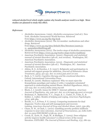

reduced alcohol level which might explain why breath analyzer result is so high. More studies are planned to study this effect.

### *References:*

- o Alcoholics Anonymous. (1955). *Alcoholics anonymous* (2nd ed.). New York: Alcoholics Anonymous World Services. Retrieved from https://www.aa.org/the-big-book
- o Alcoholics Anonymous (2012). The AA member: medications and other drugs. Retrieved from https://www.aa.org/sites/default/files/literature/assets/p-11\_aamembersMedDrug.pdf
- o Alcoholics Anonymous (2012). The twelve steps of alcoholics anonymous. Retrieved from https://www.aa.org/twelve-steps-twelve-traditions
- o American Psychiatric Association. (2000). *Diagnostic and statistical manual of mental disorders* (4th ed., text revision) . Washington, DC: American Psychiatric Association.
- o American Psychiatric Association. (2013). *Diagnostic and statistical manual of mental disorders* (5th ed.). Washington, DC: American Psychiatric Association.
- o Atkins, R. G., & Hawdon, J. E. (2007). Religiosity and participation in mutual-aid support groups for addiction. J*ournal of Substance Abuse Treatment, 33*(3), 321-331. doi: 10.1016/j.jsat.2007.07.001
- o Beck, A. T. (1976). *Cognitive therapy and the emotional disorders*. Oxford: International Universities Press.
- o Bentall, R. (2006). Madness explained: Why we must reject the Kraepelinian paradigm and replace it with a 'complaint-orientated' approach to understanding mental illness. *Medical Hypotheses, 66*(2), 220-233. doi: 10.1016/j.mehy.2005.09.026
- o Block, J. J. (2008). Issues for DSM-V: Internet addiction. *American Journal of Psychiatry, 165*, 306-307. doi: 10.1176/appi.ajp.2007.07101556
- o Brickman, P., Rabinowitz, V. C., Jurgis, K. J., Coates, D., Cohn, E., & Kidder, L. (1982). Models of helping and coping. *American Psychologist, 37*(4), 368-384.
- o Brooks, A. J., & Penn, P. E. (2003). Comparing treatments for dual diagnosis: Twelve-step and self-management and recovery training. *American Journal of Drug and Alcohol Abuse, 29*(2), 359-383.
- o Chase, H. W., & Clark, L. (2010). Gambling severity predicts midbrain response to near-miss outcomes. *Journal of Neuroscience, 30*, 6180-6187. doi: 10.1523/JNEUROSCI.5758-09. 2010
- o Coruh, B., Ayele, H., Pugh, M., & Mulligan, T. (2005). Does religious activity improve health outcomes? A critical review of the recent literature. *EXPLORE: The Journal of Science and Healing, 1*(3), 186-191.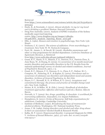

Retrieved

from https://www.sciencedirect.com/science/article/abs/pii/S155083070 5001424

- o Doyle, R., & Nowinski, J. (2012). *Almost alcoholic: Is my (or my loved one's) drinking a problem?* Boston: Harvard University.
- o Drug Free Australia. (2010). Analysis of KPMG evaluation of the Sydney medically supervised injecting centre. http://www.drugfree.org.au/images/13Books-FP/pdf/DFA\_Analysis\_Injecting\_Room\_2010.pdf
- o Ellis, A. (1962). *Reason and emotion in psychotherapy*. New York: Lyle Stuart.
- o Erickson, C. K. (2007). *The science of addiction: From neurobiology to treatment*. New York: W. W. Norton & Company.
- o Ferri, M., Amato, L., & Davoli, M. (2006). Alcoholics anonymous and other 12-step programmes for alcohol dependence. *Cochrane Database of Systematic Reviews*, 3. Retrieved from http://www.ncbi.nlm.nih.gov/pubmed/16856072
- o Grant, B. F., Hasin, D. S., Stinson, F. S., Dawson, D.A., Patricia Chou, S., June Ruan, W., & Huang, B. (2005). Co-occurrence of 12-month mood and anxiety disorders and personality disorders in the US: Results from the national epidemiologic survey on alcohol and related conditions. *Journal of Psychiatric Research, 39*(1), 1-9.
- o Grant, B. F., Stinson, F. S., Dawson, D. A., Chou, S. P., Dufour, M. C., Compton, W., Pickering, R. P., & Kaplan, K. (2004). Prevalence and cooccurrence of substance use disorders and independent mood and anxiety disorders. *Archives of General Psychiatry, 61*, 807-816.
- o Hayes, S. C., Strosahl, K. D., & Wilson, K. G. (2011). *Acceptance and commitment therapy: the process and practice of mindful change* (2nd ed.). New York: Guilford.
- o Hester, R. K., & Miller, W. R. (Eds.). (2003). *Handbook of alcoholism treatment approaches: Effective alternatives* (3rd ed.). Boston: Allyn & Bacon.
- o Horvath, A. T. (2004). *Sex, drugs, gambling, & chocolate: A workbook for overcoming addictions*. Atascadero, CA: Impact Publishers.
- o Humphreys, K. (2011). *Circles of Recovery: Self-help organizations for addictions.* Cambridge: Cambridge University.
- o Institute of Medicine. (1990). *Broadening the base of treatment for alcohol problems*. Washington, DC: National Academy Press.
- o Jonas, J. M. (1989). *Eating disorders and alcohol and other drug abuse: Is there an association?* Alcohol Health & Research World.
- o Kafka, M. P. (2010). Hypersexual disorder: A proposed diagnosis for DSM-V. *Archives of Sexual Behavior, 39*(2), 377-400. doi: 10.1007/s10508- 009-9574-7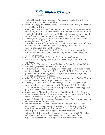

- o Kaplan, H. I., & Sadock, B. J. (1991). *Synopsis of psychiatry* (6th ed.). Baltimore, MD: Williams & Wilkins.
- o Kegan, R. (1998). *In over our heads: The mental demands of modern life*. Boston: Harvard University.
- o Koenig, H. G. (2008). *Medicine, religion, and health: Where science and spirituality meet*. West Conshohocken, PA: Templeton Foundation Press.
- o Lilenfeld, L. R., & Kaye, W. H., (1996). The link between alcoholism and eating disorders. *Alcohol Health and Research World, 20*(2), 94-99.
- o Linehan, M. M. (1993). *Cognitive-behavioral treatment of borderline personality disorder*. New York: Guilford.
- o Lintzeris, N. (2009). Prescription of heroin for the management of heroin dependence: Current status. *CNS Drugs, 23*(6), 463-476. doi: 10.2165/00023210-200923060-00002
- o Marlatt, G. A., & Donovan, D. M. (Eds.) (2005). *Relapse prevention: Maintenance strategies in the treatment of addictive behaviors* (2nd ed.). New York: Guilford.
- o Meyers, R. J., & Wolfe, B. L. (2004). *Get your loved one sober: Alternatives to nagging, pleading, and threatening*. Center City, MN: Hazelden.
- o Miller, W. R., Forchimes, A. A., & Zweben, A. (2011). *Treating addiction: A guide for professionals*. New York: Guilford.
- o Miller, W. R. & Hester, R. K. (2003). Treating alcohol problems: Toward an informed eclecticism. In R. K. Hester & W. R. Miller (Eds.), *Handbook of alcoholism treatment approaches: Effective alternatives* (3rd ed.) (pp.1-12). Boston: Allyn & Bacon.
- o Miller, W. R., & Munoz, R. F. (2004). *Controlling your drinking: Tools to make moderation work for you*. New York: Guilford.
- o Mitchell, J. E., Specker, S., & Edmonson, K. (1997). Management of substance abuse and dependence. In D. M. Garner & P. E. Garfinkel (Eds.), *Handbook of Treatment for Eating Disorders* (2nd ed.) (pp 415- 423). New York: Guilford Press.
- o Mokdad, A. H., Marks, J. S., Stroup, D. F., & Gerberding, J. L. (2004). Actual causes of death in the United States, 2000. *JAMA: Journal of the American Medical Association, 291*(10), 1238-1245.
- o Musto, D. (1999). *The American disease: Origins of narcotic control* (3rd ed.). New York: Oxford University.
- o National Institute on Alcohol Abuse and Alcoholism. (2004). Alcohol abuse increases, dependence declines across decade: Young adult minorities emerge as high-risk subgroups [Press release]. Retrieved from http://www.ncbi.nlm.nih.gov/pubmed/16856072
- o National Institute on Alcohol Abuse and Alcoholism. (2012). Alcoholism isn't what it used to be. NIAAA Spectrum, 4(1). Retrieved from http://www.spectrum.niaaa.nih.gov/features/ alcoholism.aspx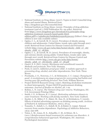

- o National Institute on Drug Abuse. (2007). Topics in brief: Comorbid drug abuse and mental illness. Retrieved from http://drugabuse.gov/tib/comorbid.html
- o National Institute on Drug Abuse. (2009). Principles of drug addiction treatment (2nd ed.). (NIH Publication No. 09-4180). Retrieved from https://www.drugabuse.gov/download/675/principles-drugaddiction-treatment-research-based-guide-thirdedition.pdf?v=74dad603627bab89b93193918330c223 (Editor's Note: 3rd edition is now only available online)
- o Ogden, C. L., & Carroll, M. D. (2010). Prevalence of obesity among children and adolescents: United States, trends 1963-1965 through 2007- 2008. Retrieved from Centers for Disease Control and Prevention website http://www.cdc.gov/nchs/data/hestat/obesity\_child\_07\_08/ obesity\_child\_07\_08.htm
- o Ogden, C. L., & Carroll, M. D. (2010). Prevalence of overweight, obesity, and extreme obesity among adults: United States, trends 1960-1962 through 2007-2008. Retrieved from Centers for Disease Control and Prevention website http://www.cdc.gov/nchs/data/hestat/ obesity\_adult\_07\_08/obesity\_adult\_07\_08.pdf
- o Onaivi, E. S. (Ed.). (2005). *Marijuana and cannibinoid research: Methods and protocols*. New York: Humana.
- o Peele, S. (2007). *Addiction proof your child: A realistic approach to preventing drug, alcohol, and other dependencies*. New York: Three Rivers.
- o Prochaska, J. O., Norcross, J. C., & Diclemente, C. C. (1994). *Changing for good: A revolutionary six-stage program for overcoming bad habits and moving your life positively forward*. New York: William Morrow.
- Project MATCH Research Group. (1997). Matching alcoholism treatments to client heterogeneity: Project MATCH posttreatment drinking outcomes. *Journal of Studies on Alcohol, 58*, 7-29.
- o Robins, L. N. (1973). *The Vietnam drug user returns*. Washington, DC: U.S. Government Printing Office.
- o Smith, J. E., & Meyers, R. J. (2004). *Motivating substance abusers to enter treatment: Working with family members*. New York: Guilford.
- o Snyder, L. B., Milici, F. F., Slater, M., Sun, H., & Strizhakova, Y. (2006). Effects of alcohol advertising exposure on drinking among youth. *Archives of Pediatric & Adolescent Medicine, 160*(1), 18-24.
- o Toneatto, T., Sobell, L. C., Sobell, M. B., & Rubel, E. (1999). Natural recovery from cocaine dependence. *Psychology of Addictive Behaviors, 13*(4), 259-268.
- Tuten, L. M., Jones, H. E., Schaeffer, C. M., & Stitzer, M. L. (2011.) *Reinforcement-based treatment for substance use disorders: A comprehensive behavioral approach*. Washington, DC: American Psychological Association.